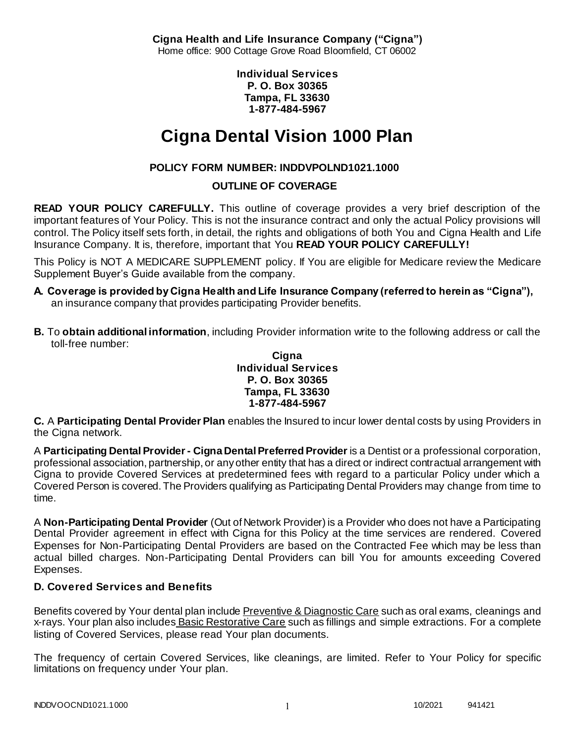**Cigna Health and Life Insurance Company ("Cigna")** Home office: 900 Cottage Grove Road Bloomfield, CT 06002

> **Individual Services P. O. Box 30365 Tampa, FL 33630 1-877-484-5967**

# **Cigna Dental Vision 1000 Plan**

# **POLICY FORM NUMBER: INDDVPOLND1021.1000**

# **OUTLINE OF COVERAGE**

**READ YOUR POLICY CAREFULLY.** This outline of coverage provides a very brief description of the important features of Your Policy. This is not the insurance contract and only the actual Policy provisions will control. The Policy itself sets forth, in detail, the rights and obligations of both You and Cigna Health and Life Insurance Company. It is, therefore, important that You **READ YOUR POLICY CAREFULLY!** 

This Policy is NOT A MEDICARE SUPPLEMENT policy. If You are eligible for Medicare review the Medicare Supplement Buyer's Guide available from the company.

- **A. Coverage is provided by Cigna Health and Life Insurance Company (referred to herein as "Cigna"),**  an insurance company that provides participating Provider benefits.
- **B.** To **obtain additional information**, including Provider information write to the following address or call the toll-free number:

#### **Cigna Individual Services P. O. Box 30365 Tampa, FL 33630 1-877-484-5967**

**C.** A **Participating Dental Provider Plan** enables the Insured to incur lower dental costs by using Providers in the Cigna network.

A **Participating Dental Provider - Cigna Dental Preferred Provider** is a Dentist or a professional corporation, professional association, partnership, or any other entity that has a direct or indirect contractual arrangement with Cigna to provide Covered Services at predetermined fees with regard to a particular Policy under which a Covered Person is covered. The Providers qualifying as Participating Dental Providers may change from time to time.

A **Non-Participating Dental Provider** (Out of Network Provider) is a Provider who does not have a Participating Dental Provider agreement in effect with Cigna for this Policy at the time services are rendered. Covered Expenses for Non-Participating Dental Providers are based on the Contracted Fee which may be less than actual billed charges. Non-Participating Dental Providers can bill You for amounts exceeding Covered Expenses.

# **D. Covered Services and Benefits**

Benefits covered by Your dental plan include Preventive & Diagnostic Care such as oral exams, cleanings and x-rays. Your plan also includes Basic Restorative Care such as fillings and simple extractions. For a complete listing of Covered Services, please read Your plan documents.

The frequency of certain Covered Services, like cleanings, are limited. Refer to Your Policy for specific limitations on frequency under Your plan.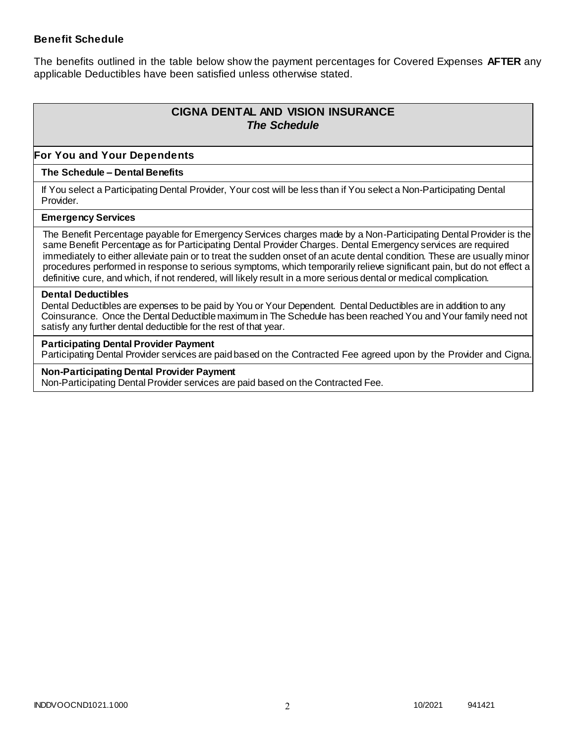### **Benefit Schedule**

The benefits outlined in the table below show the payment percentages for Covered Expenses **AFTER** any applicable Deductibles have been satisfied unless otherwise stated.

# **CIGNA DENTAL AND VISION INSURANCE** *The Schedule*

### **For You and Your Dependents**

#### **The Schedule – Dental Benefits**

If You select a Participating Dental Provider, Your cost will be less than if You select a Non-Participating Dental Provider.

#### **Emergency Services**

The Benefit Percentage payable for Emergency Services charges made by a Non-Participating Dental Provider is the same Benefit Percentage as for Participating Dental Provider Charges. Dental Emergency services are required immediately to either alleviate pain or to treat the sudden onset of an acute dental condition. These are usually minor procedures performed in response to serious symptoms, which temporarily relieve significant pain, but do not effect a definitive cure, and which, if not rendered, will likely result in a more serious dental or medical complication.

#### **Dental Deductibles**

Dental Deductibles are expenses to be paid by You or Your Dependent. Dental Deductibles are in addition to any Coinsurance. Once the Dental Deductible maximum in The Schedule has been reached You and Your family need not satisfy any further dental deductible for the rest of that year.

#### **Participating Dental Provider Payment**

Participating Dental Provider services are paid based on the Contracted Fee agreed upon by the Provider and Cigna.

**Non-Participating Dental Provider Payment** Non-Participating Dental Provider services are paid based on the Contracted Fee.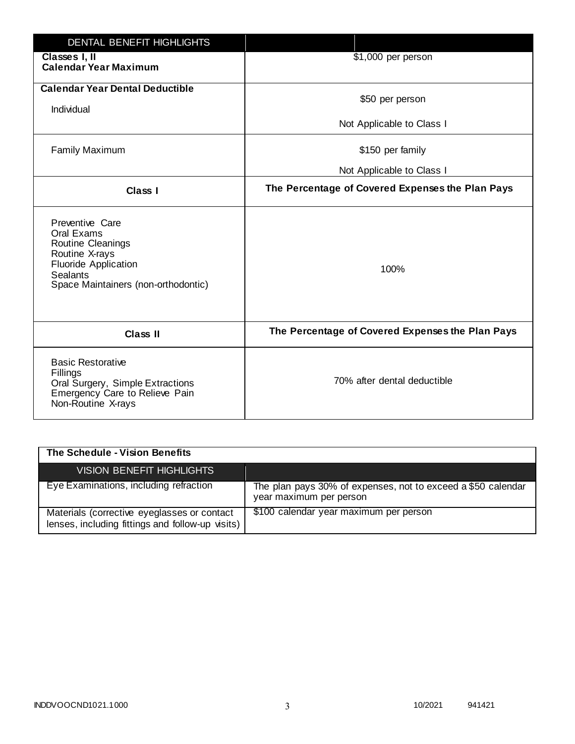| <b>DENTAL BENEFIT HIGHLIGHTS</b>                                                                                                                              |                                                  |
|---------------------------------------------------------------------------------------------------------------------------------------------------------------|--------------------------------------------------|
| Classes I, II<br><b>Calendar Year Maximum</b>                                                                                                                 | \$1,000 per person                               |
| <b>Calendar Year Dental Deductible</b><br>Individual                                                                                                          | \$50 per person                                  |
|                                                                                                                                                               | Not Applicable to Class I                        |
| <b>Family Maximum</b>                                                                                                                                         | \$150 per family                                 |
|                                                                                                                                                               | Not Applicable to Class I                        |
| <b>Class I</b>                                                                                                                                                | The Percentage of Covered Expenses the Plan Pays |
| Preventive Care<br>Oral Exams<br>Routine Cleanings<br>Routine X-rays<br><b>Fluoride Application</b><br><b>Sealants</b><br>Space Maintainers (non-orthodontic) | 100%                                             |
| <b>Class II</b>                                                                                                                                               | The Percentage of Covered Expenses the Plan Pays |
| <b>Basic Restorative</b><br>Fillings<br>Oral Surgery, Simple Extractions<br>Emergency Care to Relieve Pain<br>Non-Routine X-rays                              | 70% after dental deductible                      |

| The Schedule - Vision Benefits                                                                  |                                                                                         |
|-------------------------------------------------------------------------------------------------|-----------------------------------------------------------------------------------------|
| VISION BENEFIT HIGHLIGHTS                                                                       |                                                                                         |
| Eye Examinations, including refraction                                                          | The plan pays 30% of expenses, not to exceed a \$50 calendar<br>year maximum per person |
| Materials (corrective eyeglasses or contact<br>lenses, including fittings and follow-up visits) | \$100 calendar year maximum per person                                                  |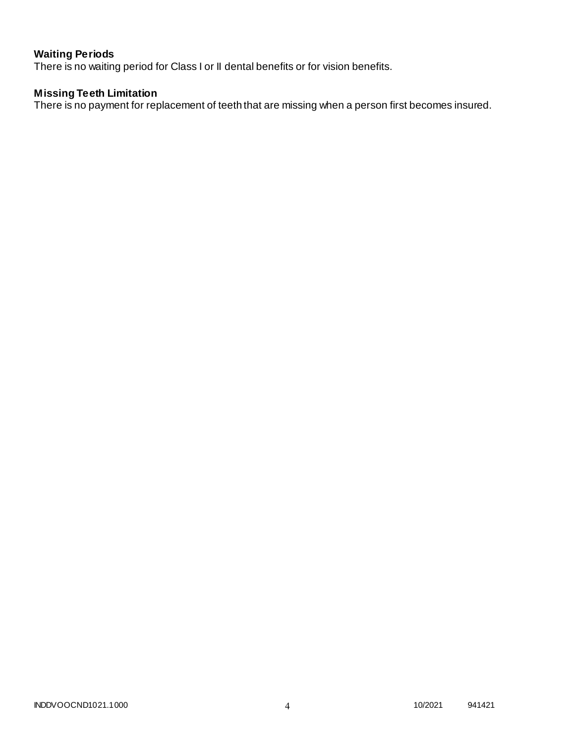# **Waiting Periods**

There is no waiting period for Class I or II dental benefits or for vision benefits.

# **Missing Teeth Limitation**

There is no payment for replacement of teeth that are missing when a person first becomes insured.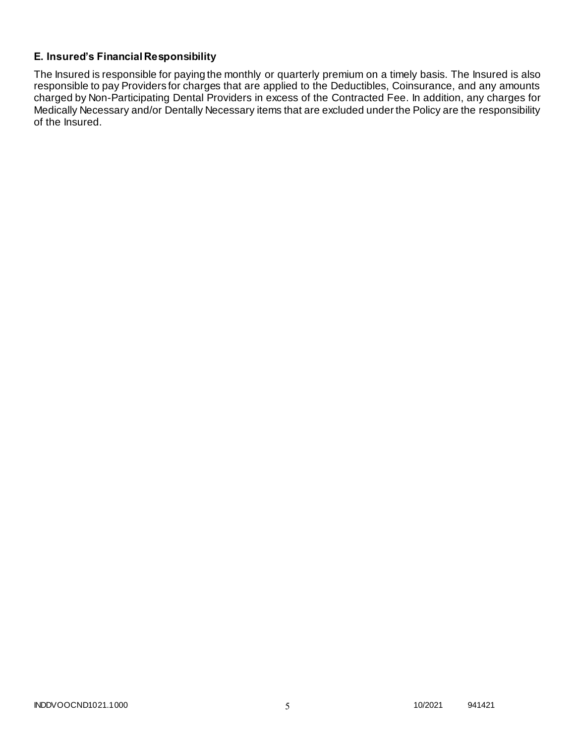# **E. Insured's Financial Responsibility**

The Insured is responsible for paying the monthly or quarterly premium on a timely basis. The Insured is also responsible to pay Providers for charges that are applied to the Deductibles, Coinsurance, and any amounts charged by Non-Participating Dental Providers in excess of the Contracted Fee. In addition, any charges for Medically Necessary and/or Dentally Necessary items that are excluded under the Policy are the responsibility of the Insured.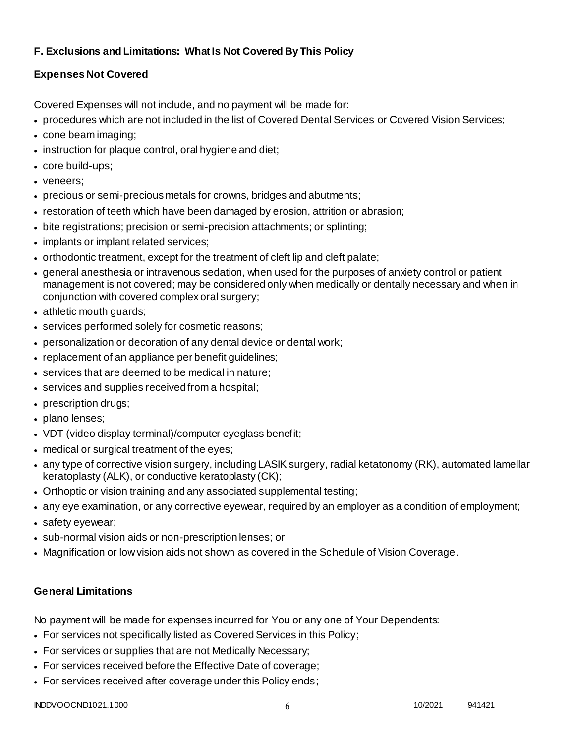# **F. Exclusions and Limitations: What Is Not Covered By This Policy**

# **Expenses Not Covered**

Covered Expenses will not include, and no payment will be made for:

- procedures which are not included in the list of Covered Dental Services or Covered Vision Services;
- cone beam imaging;
- instruction for plaque control, oral hygiene and diet;
- core build-ups;
- veneers;
- precious or semi-precious metals for crowns, bridges and abutments;
- restoration of teeth which have been damaged by erosion, attrition or abrasion;
- bite registrations; precision or semi-precision attachments; or splinting;
- implants or implant related services;
- orthodontic treatment, except for the treatment of cleft lip and cleft palate;
- general anesthesia or intravenous sedation, when used for the purposes of anxiety control or patient management is not covered; may be considered only when medically or dentally necessary and when in conjunction with covered complex oral surgery;
- athletic mouth guards;
- services performed solely for cosmetic reasons;
- personalization or decoration of any dental device or dental work;
- replacement of an appliance per benefit quidelines;
- services that are deemed to be medical in nature;
- services and supplies received from a hospital;
- prescription drugs;
- plano lenses;
- VDT (video display terminal)/computer eyeglass benefit;
- medical or surgical treatment of the eyes;
- any type of corrective vision surgery, including LASIK surgery, radial ketatonomy (RK), automated lamellar keratoplasty (ALK), or conductive keratoplasty (CK);
- Orthoptic or vision training and any associated supplemental testing;
- any eye examination, or any corrective eyewear, required by an employer as a condition of employment;
- safety eyewear;
- sub-normal vision aids or non-prescription lenses; or
- Magnification or low vision aids not shown as covered in the Schedule of Vision Coverage.

# **General Limitations**

No payment will be made for expenses incurred for You or any one of Your Dependents:

- For services not specifically listed as Covered Services in this Policy;
- For services or supplies that are not Medically Necessary;
- For services received before the Effective Date of coverage;
- For services received after coverage under this Policy ends;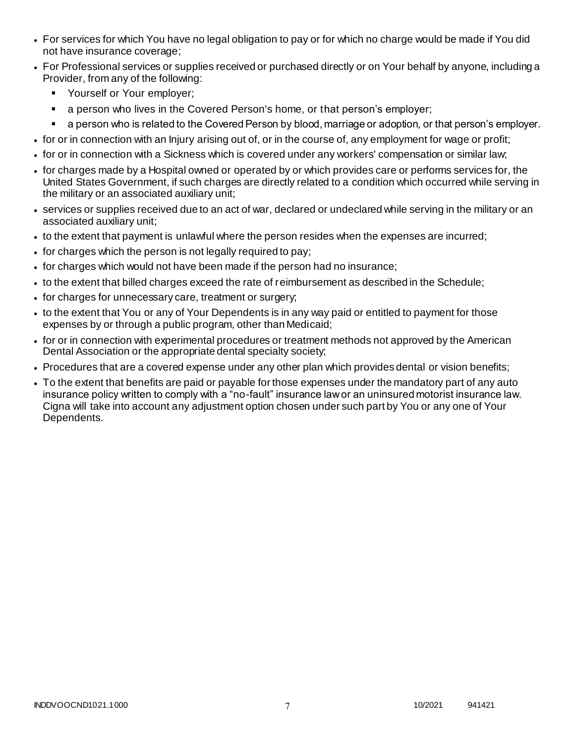- For services for which You have no legal obligation to pay or for which no charge would be made if You did not have insurance coverage;
- For Professional services or supplies received or purchased directly or on Your behalf by anyone, including a Provider, from any of the following:
	- **Yourself or Your employer;**
	- **a** person who lives in the Covered Person's home, or that person's employer;
	- a person who is related to the Covered Person by blood, marriage or adoption, or that person's employer.
- for or in connection with an Injury arising out of, or in the course of, any employment for wage or profit;
- for or in connection with a Sickness which is covered under any workers' compensation or similar law;
- for charges made by a Hospital owned or operated by or which provides care or performs services for, the United States Government, if such charges are directly related to a condition which occurred while serving in the military or an associated auxiliary unit;
- services or supplies received due to an act of war, declared or undeclared while serving in the military or an associated auxiliary unit;
- to the extent that payment is unlawful where the person resides when the expenses are incurred;
- for charges which the person is not legally required to pay;
- for charges which would not have been made if the person had no insurance;
- to the extent that billed charges exceed the rate of reimbursement as described in the Schedule;
- for charges for unnecessary care, treatment or surgery;
- to the extent that You or any of Your Dependents is in any way paid or entitled to payment for those expenses by or through a public program, other than Medicaid;
- for or in connection with experimental procedures or treatment methods not approved by the American Dental Association or the appropriate dental specialty society;
- Procedures that are a covered expense under any other plan which provides dental or vision benefits;
- To the extent that benefits are paid or payable for those expenses under the mandatory part of any auto insurance policy written to comply with a "no-fault" insurance law or an uninsured motorist insurance law. Cigna will take into account any adjustment option chosen under such part by You or any one of Your Dependents.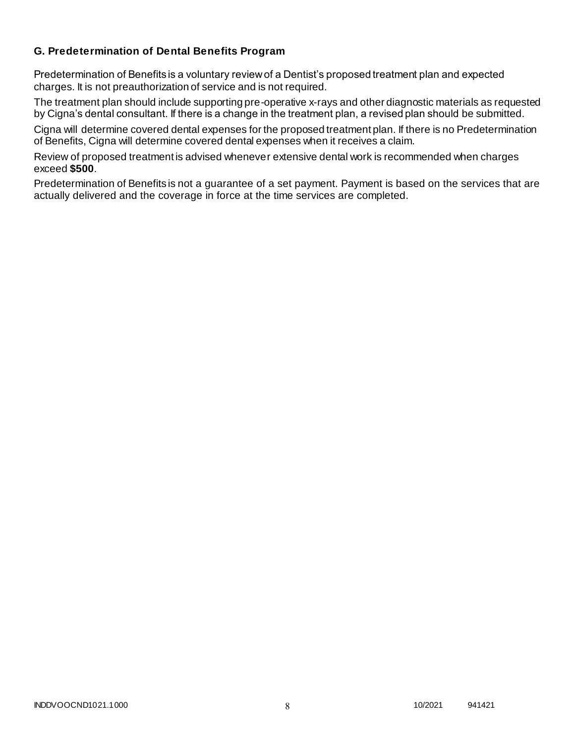# **G. Predetermination of Dental Benefits Program**

Predetermination of Benefits is a voluntary review of a Dentist's proposed treatment plan and expected charges. It is not preauthorization of service and is not required.

The treatment plan should include supporting pre-operative x-rays and other diagnostic materials as requested by Cigna's dental consultant. If there is a change in the treatment plan, a revised plan should be submitted.

Cigna will determine covered dental expenses for the proposed treatment plan. If there is no Predetermination of Benefits, Cigna will determine covered dental expenses when it receives a claim.

Review of proposed treatment is advised whenever extensive dental work is recommended when charges exceed **\$500**.

Predetermination of Benefits is not a guarantee of a set payment. Payment is based on the services that are actually delivered and the coverage in force at the time services are completed.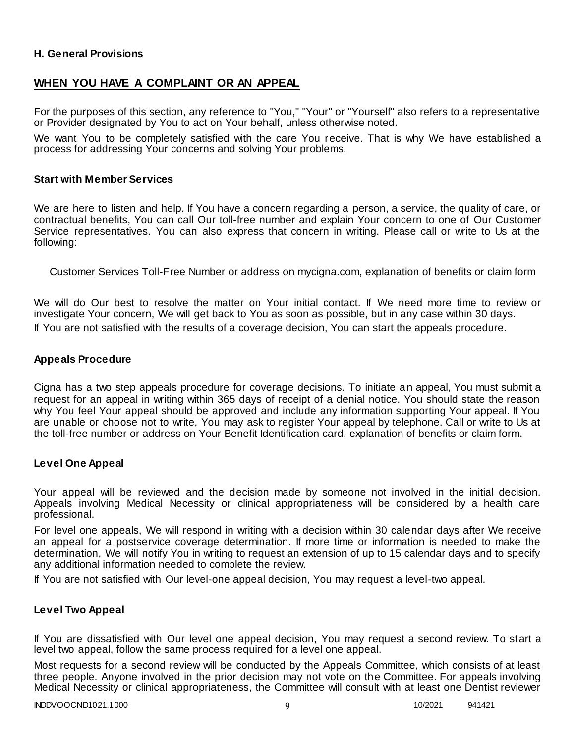### **H. General Provisions**

# **WHEN YOU HAVE A COMPLAINT OR AN APPEAL**

For the purposes of this section, any reference to "You," "Your" or "Yourself" also refers to a representative or Provider designated by You to act on Your behalf, unless otherwise noted.

We want You to be completely satisfied with the care You receive. That is why We have established a process for addressing Your concerns and solving Your problems.

#### **Start with Member Services**

We are here to listen and help. If You have a concern regarding a person, a service, the quality of care, or contractual benefits, You can call Our toll-free number and explain Your concern to one of Our Customer Service representatives. You can also express that concern in writing. Please call or write to Us at the following:

Customer Services Toll-Free Number or address on mycigna.com, explanation of benefits or claim form

We will do Our best to resolve the matter on Your initial contact. If We need more time to review or investigate Your concern, We will get back to You as soon as possible, but in any case within 30 days. If You are not satisfied with the results of a coverage decision, You can start the appeals procedure.

#### **Appeals Procedure**

Cigna has a two step appeals procedure for coverage decisions. To initiate an appeal, You must submit a request for an appeal in writing within 365 days of receipt of a denial notice. You should state the reason why You feel Your appeal should be approved and include any information supporting Your appeal. If You are unable or choose not to write, You may ask to register Your appeal by telephone. Call or write to Us at the toll-free number or address on Your Benefit Identification card, explanation of benefits or claim form.

#### **Level One Appeal**

Your appeal will be reviewed and the decision made by someone not involved in the initial decision. Appeals involving Medical Necessity or clinical appropriateness will be considered by a health care professional.

For level one appeals, We will respond in writing with a decision within 30 calendar days after We receive an appeal for a postservice coverage determination. If more time or information is needed to make the determination, We will notify You in writing to request an extension of up to 15 calendar days and to specify any additional information needed to complete the review.

If You are not satisfied with Our level-one appeal decision, You may request a level-two appeal.

#### **Level Two Appeal**

If You are dissatisfied with Our level one appeal decision, You may request a second review. To start a level two appeal, follow the same process required for a level one appeal.

Most requests for a second review will be conducted by the Appeals Committee, which consists of at least three people. Anyone involved in the prior decision may not vote on the Committee. For appeals involving Medical Necessity or clinical appropriateness, the Committee will consult with at least one Dentist reviewer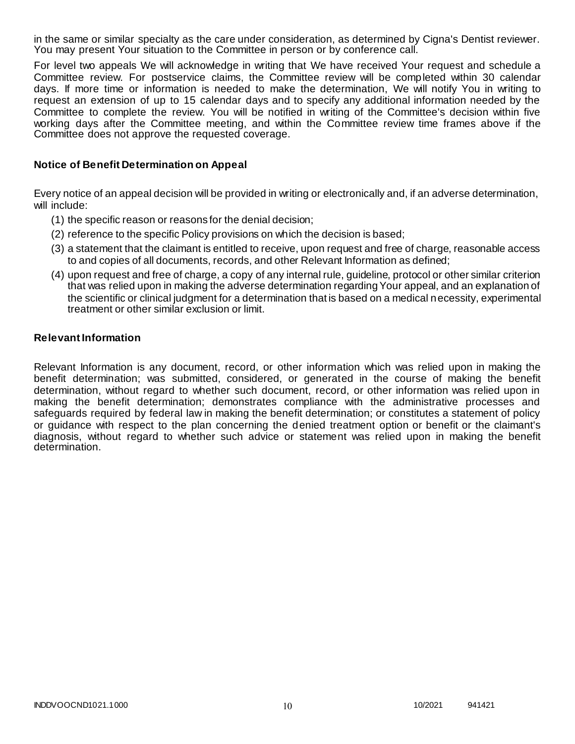in the same or similar specialty as the care under consideration, as determined by Cigna's Dentist reviewer. You may present Your situation to the Committee in person or by conference call.

For level two appeals We will acknowledge in writing that We have received Your request and schedule a Committee review. For postservice claims, the Committee review will be completed within 30 calendar days. If more time or information is needed to make the determination, We will notify You in writing to request an extension of up to 15 calendar days and to specify any additional information needed by the Committee to complete the review. You will be notified in writing of the Committee's decision within five working days after the Committee meeting, and within the Committee review time frames above if the Committee does not approve the requested coverage.

### **Notice of Benefit Determination on Appeal**

Every notice of an appeal decision will be provided in writing or electronically and, if an adverse determination, will include:

- (1) the specific reason or reasons for the denial decision;
- (2) reference to the specific Policy provisions on which the decision is based;
- (3) a statement that the claimant is entitled to receive, upon request and free of charge, reasonable access to and copies of all documents, records, and other Relevant Information as defined;
- (4) upon request and free of charge, a copy of any internal rule, guideline, protocol or other similar criterion that was relied upon in making the adverse determination regarding Your appeal, and an explanation of the scientific or clinical judgment for a determination that is based on a medical necessity, experimental treatment or other similar exclusion or limit.

#### **Relevant Information**

Relevant Information is any document, record, or other information which was relied upon in making the benefit determination; was submitted, considered, or generated in the course of making the benefit determination, without regard to whether such document, record, or other information was relied upon in making the benefit determination; demonstrates compliance with the administrative processes and safeguards required by federal law in making the benefit determination; or constitutes a statement of policy or guidance with respect to the plan concerning the denied treatment option or benefit or the claimant's diagnosis, without regard to whether such advice or statement was relied upon in making the benefit determination.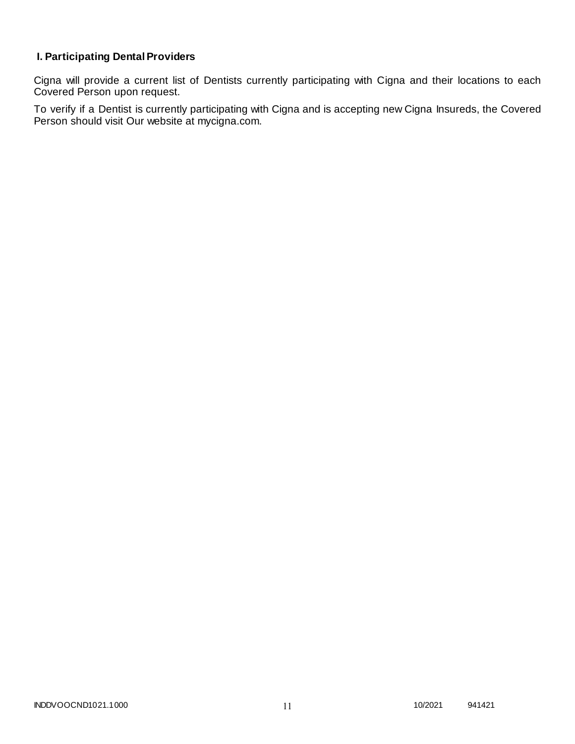# **I. Participating Dental Providers**

Cigna will provide a current list of Dentists currently participating with Cigna and their locations to each Covered Person upon request.

To verify if a Dentist is currently participating with Cigna and is accepting new Cigna Insureds, the Covered Person should visit Our website at mycigna.com.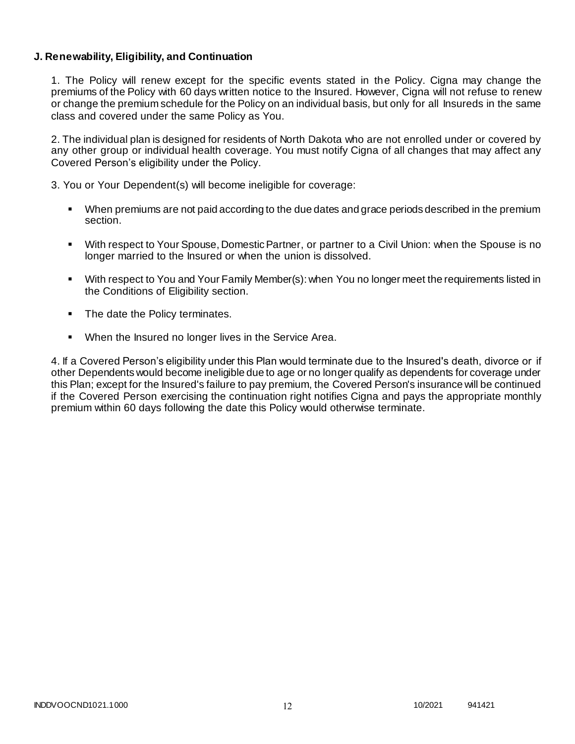### **J. Renewability, Eligibility, and Continuation**

1. The Policy will renew except for the specific events stated in the Policy. Cigna may change the premiums of the Policy with 60 days written notice to the Insured. However, Cigna will not refuse to renew or change the premium schedule for the Policy on an individual basis, but only for all Insureds in the same class and covered under the same Policy as You.

2. The individual plan is designed for residents of North Dakota who are not enrolled under or covered by any other group or individual health coverage. You must notify Cigna of all changes that may affect any Covered Person's eligibility under the Policy.

3. You or Your Dependent(s) will become ineligible for coverage:

- When premiums are not paid according to the due dates and grace periods described in the premium section.
- With respect to Your Spouse, Domestic Partner, or partner to a Civil Union: when the Spouse is no longer married to the Insured or when the union is dissolved.
- With respect to You and Your Family Member(s): when You no longer meet the requirements listed in the Conditions of Eligibility section.
- The date the Policy terminates.
- When the Insured no longer lives in the Service Area.

4. If a Covered Person's eligibility under this Plan would terminate due to the Insured's death, divorce or if other Dependents would become ineligible due to age or no longer qualify as dependents for coverage under this Plan; except for the Insured's failure to pay premium, the Covered Person's insurance will be continued if the Covered Person exercising the continuation right notifies Cigna and pays the appropriate monthly premium within 60 days following the date this Policy would otherwise terminate.